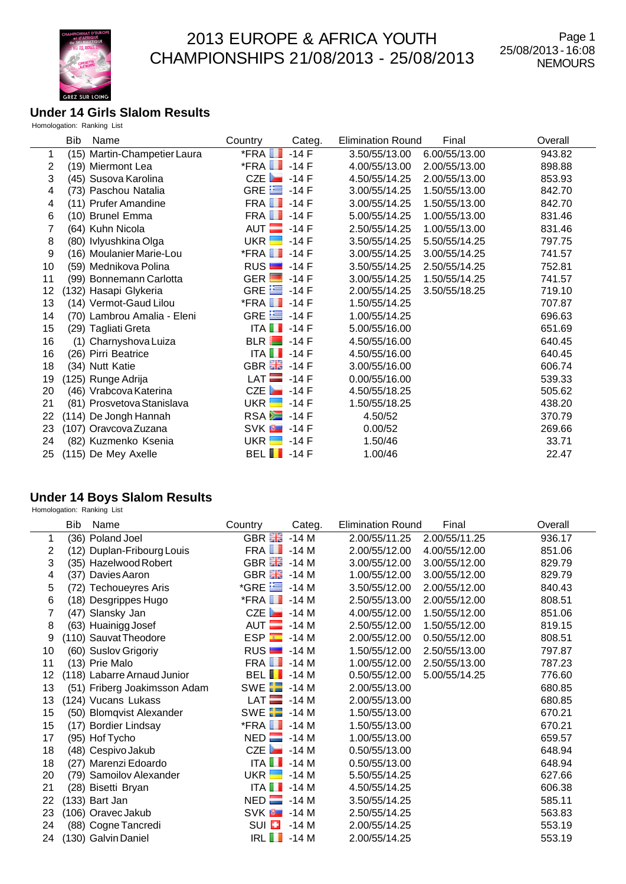

#### **Under 14 Girls Slalom Results** Homologation: Ranking List

|    | <b>Bib</b><br>Name           | Country<br>Categ.                | <b>Elimination Round</b><br>Final | Overall |
|----|------------------------------|----------------------------------|-----------------------------------|---------|
| 1  | (15) Martin-Champetier Laura | $*$ FRA $\blacksquare$<br>$-14F$ | 3.50/55/13.00<br>6.00/55/13.00    | 943.82  |
| 2  | (19) Miermont Lea            | $*$ FRA $\blacksquare$<br>$-14F$ | 4.00/55/13.00<br>2.00/55/13.00    | 898.88  |
| 3  | (45) Susova Karolina         | CZE $\overline{$ -14 F           | 4.50/55/14.25<br>2.00/55/13.00    | 853.93  |
| 4  | (73) Paschou Natalia         | GRE $\equiv$ -14 F               | 3.00/55/14.25<br>1.50/55/13.00    | 842.70  |
| 4  | (11) Prufer Amandine         | <b>FRA 1</b> -14 F               | 3.00/55/14.25<br>1.50/55/13.00    | 842.70  |
| 6  | (10) Brunel Emma             | <b>FRA 1</b> -14 F               | 5.00/55/14.25<br>1.00/55/13.00    | 831.46  |
| 7  | (64) Kuhn Nicola             | AUT $\Box$ -14 F                 | 2.50/55/14.25<br>1.00/55/13.00    | 831.46  |
| 8  | (80) Ivlyushkina Olga        | UKR H<br>$-14F$                  | 3.50/55/14.25<br>5.50/55/14.25    | 797.75  |
| 9  | (16) Moulanier Marie-Lou     | $*$ FRA $\blacksquare$ -14 F     | 3.00/55/14.25<br>3.00/55/14.25    | 741.57  |
| 10 | (59) Mednikova Polina        | $RUS$ $-14F$                     | 3.50/55/14.25<br>2.50/55/14.25    | 752.81  |
| 11 | (99) Bonnemann Carlotta      | GER $\blacksquare$ -14 F         | 3.00/55/14.25<br>1.50/55/14.25    | 741.57  |
| 12 | (132) Hasapi Glykeria        | GRE $\equiv$ -14 F               | 2.00/55/14.25<br>3.50/55/18.25    | 719.10  |
| 13 | (14) Vermot-Gaud Lilou       | $*$ FRA $\blacksquare$ -14 F     | 1.50/55/14.25                     | 707.87  |
| 14 | (70) Lambrou Amalia - Eleni  | GRE $\equiv$ -14 F               | 1.00/55/14.25                     | 696.63  |
| 15 | (29) Tagliati Greta          | ITA $\blacksquare$ -14 F         | 5.00/55/16.00                     | 651.69  |
| 16 | (1) Charnyshova Luiza        | $BLR$ $-14F$                     | 4.50/55/16.00                     | 640.45  |
| 16 | (26) Pirri Beatrice          | ITA $\blacksquare$ -14 F         | 4.50/55/16.00                     | 640.45  |
| 18 | (34) Nutt Katie              | GBR 28 - 14 F                    | 3.00/55/16.00                     | 606.74  |
| 19 | (125) Runge Adrija           | $LAT$ -14 F                      | 0.00/55/16.00                     | 539.33  |
| 20 | (46) Vrabcova Katerina       | CZE<br>-14 F                     | 4.50/55/18.25                     | 505.62  |
| 21 | (81) Prosvetova Stanislava   | UKR $\blacksquare$<br>$-14$ F    | 1.50/55/18.25                     | 438.20  |
| 22 | (114) De Jongh Hannah        | $RSA = -14F$                     | 4.50/52                           | 370.79  |
| 23 | (107) Oravcova Zuzana        | $SVK$ $-14F$                     | 0.00/52                           | 269.66  |
| 24 | (82) Kuzmenko Ksenia         | UKR <b>H</b><br>$-14$ F          | 1.50/46                           | 33.71   |
| 25 | (115) De Mey Axelle          | BEL $\blacksquare$ -14 F         | 1.00/46                           | 22.47   |
|    |                              |                                  |                                   |         |

#### **Under 14 Boys Slalom Results**

|    | Bib              | Name                         | Country                      | Categ. | <b>Elimination Round</b> | Final         | Overall |
|----|------------------|------------------------------|------------------------------|--------|--------------------------|---------------|---------|
| 1  |                  | (36) Poland Joel             | GBR <b>He</b>                | $-14M$ | 2.00/55/11.25            | 2.00/55/11.25 | 936.17  |
| 2  |                  | (12) Duplan-Fribourg Louis   | FRA <b>I</b>                 | $-14M$ | 2.00/55/12.00            | 4.00/55/12.00 | 851.06  |
| 3  |                  | (35) Hazelwood Robert        | GBR $\frac{12}{100}$ -14 M   |        | 3.00/55/12.00            | 3.00/55/12.00 | 829.79  |
| 4  |                  | (37) Davies Aaron            | GBR $\frac{12}{100}$ -14 M   |        | 1.00/55/12.00            | 3.00/55/12.00 | 829.79  |
| 5  |                  | (72) Techoueyres Aris        | *GRE $\equiv$ -14 M          |        | 3.50/55/12.00            | 2.00/55/12.00 | 840.43  |
| 6  |                  | (18) Desgrippes Hugo         | $*$ FRA $\blacksquare$ -14 M |        | 2.50/55/13.00            | 2.00/55/12.00 | 808.51  |
| 7  |                  | (47) Slansky Jan             | CZE                          | -14 M  | 4.00/55/12.00            | 1.50/55/12.00 | 851.06  |
| 8  |                  | (63) Huainigg Josef          | $AUT$ $\blacksquare$         | $-14M$ | 2.50/55/12.00            | 1.50/55/12.00 | 819.15  |
| 9  |                  | (110) Sauvat Theodore        | ESP                          | $-14M$ | 2.00/55/12.00            | 0.50/55/12.00 | 808.51  |
| 10 |                  | (60) Suslov Grigoriy         | RUS                          | $-14M$ | 1.50/55/12.00            | 2.50/55/13.00 | 797.87  |
| 11 | (13) Prie Malo   |                              | $FRA$ $\blacksquare$ -14 M   |        | 1.00/55/12.00            | 2.50/55/13.00 | 787.23  |
| 12 |                  | (118) Labarre Arnaud Junior  | <b>BEL</b> 14 M              |        | 0.50/55/12.00            | 5.00/55/14.25 | 776.60  |
| 13 |                  | (51) Friberg Joakimsson Adam | SWE $\Box$ -14 M             |        | 2.00/55/13.00            |               | 680.85  |
| 13 |                  | (124) Vucans Lukass          | $LAT$ -14 M                  |        | 2.00/55/13.00            |               | 680.85  |
| 15 |                  | (50) Blomqvist Alexander     | SWE $\Box$ -14 M             |        | 1.50/55/13.00            |               | 670.21  |
| 15 |                  | (17) Bordier Lindsay         | $*$ FRA $\blacksquare$ -14 M |        | 1.50/55/13.00            |               | 670.21  |
| 17 | (95) Hof Tycho   |                              | $NED$ -14 M                  |        | 1.00/55/13.00            |               | 659.57  |
| 18 |                  | (48) Cespivo Jakub           | CZE                          | $-14M$ | 0.50/55/13.00            |               | 648.94  |
| 18 |                  | (27) Marenzi Edoardo         | ITA $\blacksquare$           | $-14M$ | 0.50/55/13.00            |               | 648.94  |
| 20 |                  | (79) Samoilov Alexander      | $UKR$ $\blacksquare$         | $-14M$ | 5.50/55/14.25            |               | 627.66  |
| 21 |                  | (28) Bisetti Bryan           | ITA $\blacksquare$ -14 M     |        | 4.50/55/14.25            |               | 606.38  |
| 22 | $(133)$ Bart Jan |                              | $NED$ -14 M                  |        | 3.50/55/14.25            |               | 585.11  |
| 23 |                  | (106) Oravec Jakub           | SVK <sup>B</sup>             | $-14M$ | 2.50/55/14.25            |               | 563.83  |
| 24 |                  | (88) Cogne Tancredi          | SUI <b>E</b>                 | $-14M$ | 2.00/55/14.25            |               | 553.19  |
| 24 |                  | (130) Galvin Daniel          | <b>IRL</b> II                | $-14M$ | 2.00/55/14.25            |               | 553.19  |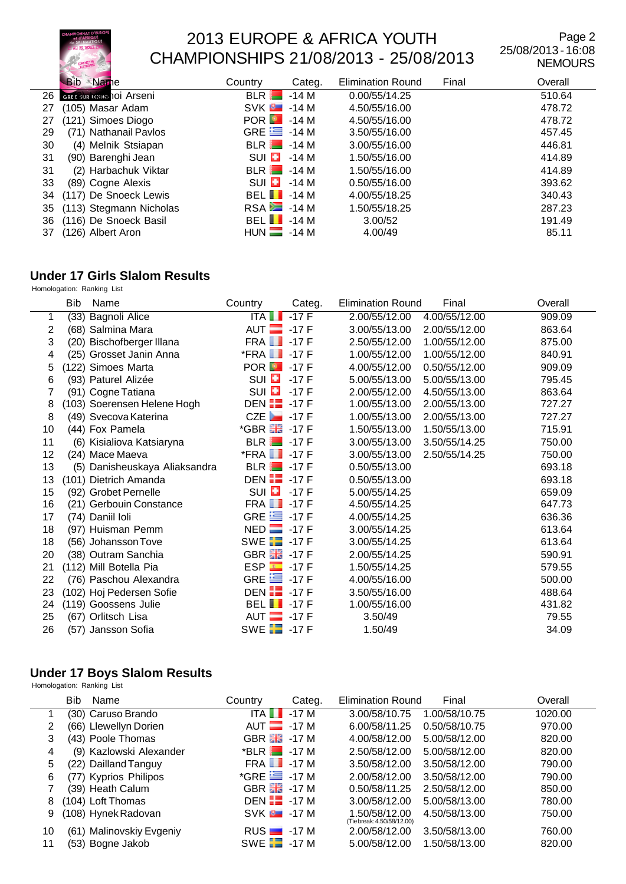

Page 2 25/08/2013 - 16:08 NEMOURS

|    | <b>Bib</b><br>Name               | Country                  | Categ. | <b>Elimination Round</b> | Final | Overall |
|----|----------------------------------|--------------------------|--------|--------------------------|-------|---------|
| 26 | <b>GREZ SUR LOBIC 101 Arseni</b> | BLR                      | -14 M  | 0.00/55/14.25            |       | 510.64  |
| 27 | (105) Masar Adam                 | $SVK$ $-14M$             |        | 4.50/55/16.00            |       | 478.72  |
| 27 | (121) Simoes Diogo               | POR $\boxed{9}$ -14 M    |        | 4.50/55/16.00            |       | 478.72  |
| 29 | (71) Nathanail Pavlos            | GRE $\equiv$ -14 M       |        | 3.50/55/16.00            |       | 457.45  |
| 30 | (4) Melnik Stsiapan              | $BLR$ $-14M$             |        | 3.00/55/16.00            |       | 446.81  |
| 31 | (90) Barenghi Jean               | $SUI$ $\Box$             | $-14M$ | 1.50/55/16.00            |       | 414.89  |
| 31 | (2) Harbachuk Viktar             | $BLR$ $-14M$             |        | 1.50/55/16.00            |       | 414.89  |
| 33 | (89) Cogne Alexis                | $SUI$ $\Box$             | $-14M$ | 0.50/55/16.00            |       | 393.62  |
| 34 | (117) De Snoeck Lewis            | BEL $\blacksquare$ -14 M |        | 4.00/55/18.25            |       | 340.43  |
| 35 | (113) Stegmann Nicholas          | $RSA = -14 M$            |        | 1.50/55/18.25            |       | 287.23  |
| 36 | (116) De Snoeck Basil            | BEL $\blacksquare$ -14 M |        | 3.00/52                  |       | 191.49  |
| 37 | (126) Albert Aron                | $HUN = -14 M$            |        | 4.00/49                  |       | 85.11   |

### **Under 17 Girls Slalom Results**

Homologation: Ranking List

|    | <b>Bib</b> | Name                          | Country                      | Categ.  | <b>Elimination Round</b> | Final         | Overall |
|----|------------|-------------------------------|------------------------------|---------|--------------------------|---------------|---------|
| 1  |            | (33) Bagnoli Alice            | ITA                          | $-17F$  | 2.00/55/12.00            | 4.00/55/12.00 | 909.09  |
| 2  |            | (68) Salmina Mara             | AUT $\blacksquare$           | $-17F$  | 3.00/55/13.00            | 2.00/55/12.00 | 863.64  |
| 3  |            | (20) Bischofberger Illana     | <b>FRA 1</b> -17 F           |         | 2.50/55/12.00            | 1.00/55/12.00 | 875.00  |
| 4  |            | (25) Grosset Janin Anna       | $*$ FRA $\blacksquare$       | $-17$ F | 1.00/55/12.00            | 1.00/55/12.00 | 840.91  |
| 5  |            | (122) Simoes Marta            | <b>POR 3</b> -17 F           |         | 4.00/55/12.00            | 0.50/55/12.00 | 909.09  |
| 6  |            | (93) Paturel Alizée           | $\mathsf{S}\cup\mathsf{E}$   | $-17F$  | 5.00/55/13.00            | 5.00/55/13.00 | 795.45  |
|    |            | (91) Cogne Tatiana            | $SUI$ $\Box$                 | $-17F$  | 2.00/55/12.00            | 4.50/55/13.00 | 863.64  |
| 8  |            | (103) Soerensen Helene Hogh   | DEN $\Box$ -17 F             |         | 1.00/55/13.00            | 2.00/55/13.00 | 727.27  |
| 8  |            | (49) Svecova Katerina         | $CZE$ -17 F                  |         | 1.00/55/13.00            | 2.00/55/13.00 | 727.27  |
| 10 |            | (44) Fox Pamela               | *GBR <b>He</b> -17 F         |         | 1.50/55/13.00            | 1.50/55/13.00 | 715.91  |
| 11 |            | (6) Kisialiova Katsiaryna     | $BLR$ $-17F$                 |         | 3.00/55/13.00            | 3.50/55/14.25 | 750.00  |
| 12 |            | (24) Mace Maeva               | $*$ FRA $\blacksquare$ -17 F |         | 3.00/55/13.00            | 2.50/55/14.25 | 750.00  |
| 13 |            | (5) Danisheuskaya Aliaksandra | $BLR$ $-17F$                 |         | 0.50/55/13.00            |               | 693.18  |
| 13 |            | (101) Dietrich Amanda         | DEN $\blacksquare$ -17 F     |         | 0.50/55/13.00            |               | 693.18  |
| 15 |            | (92) Grobet Pernelle          | $SUI$ $\Box$                 | $-17F$  | 5.00/55/14.25            |               | 659.09  |
| 16 |            | (21) Gerbouin Constance       | <b>FRA 1</b> -17 <b>F</b>    |         | 4.50/55/14.25            |               | 647.73  |
| 17 |            | (74) Daniil Ioli              | GRE $\equiv$ -17 F           |         | 4.00/55/14.25            |               | 636.36  |
| 18 |            | (97) Huisman Pemm             | $NED$ $-17F$                 |         | 3.00/55/14.25            |               | 613.64  |
| 18 |            | (56) Johansson Tove           | SWE $\Box$ -17 F             |         | 3.00/55/14.25            |               | 613.64  |
| 20 |            | (38) Outram Sanchia           | <b>GBR ##</b> -17 F          |         | 2.00/55/14.25            |               | 590.91  |
| 21 |            | (112) Mill Botella Pia        | $ESP = 17F$                  |         | 1.50/55/14.25            |               | 579.55  |
| 22 |            | (76) Paschou Alexandra        | GRE $\equiv$ -17 F           |         | 4.00/55/16.00            |               | 500.00  |
| 23 |            | (102) Hoj Pedersen Sofie      | DEN $\blacksquare$ -17 F     |         | 3.50/55/16.00            |               | 488.64  |
| 24 |            | (119) Goossens Julie          | BEL $\blacksquare$ -17 F     |         | 1.00/55/16.00            |               | 431.82  |
| 25 |            | (67) Orlitsch Lisa            | AUT $\blacksquare$ -17 F     |         | 3.50/49                  |               | 79.55   |
| 26 |            | (57) Jansson Sofia            | SWE <b>2</b> -17 F           |         | 1.50/49                  |               | 34.09   |

#### **Under 17 Boys Slalom Results**

|    | Bib<br>Name              | Categ.<br>Country              | <b>Elimination Round</b><br>Final                            | Overall |
|----|--------------------------|--------------------------------|--------------------------------------------------------------|---------|
|    | (30) Caruso Brando       | $ITA$ $\blacksquare$<br>$-17M$ | 3.00/58/10.75<br>1.00/58/10.75                               | 1020.00 |
| 2  | (66) Llewellyn Dorien    | $AUT$ $-17M$                   | 6.00/58/11.25<br>0.50/58/10.75                               | 970.00  |
| 3  | (43) Poole Thomas        | GBR $\frac{12}{100}$ -17 M     | 4.00/58/12.00<br>5.00/58/12.00                               | 820.00  |
| 4  | (9) Kazlowski Alexander  | $*BLR$ -17 M                   | 2.50/58/12.00<br>5.00/58/12.00                               | 820.00  |
| 5. | (22) Dailland Tanguy     | $FRA$ $\Box$ -17 M             | 3.50/58/12.00<br>3.50/58/12.00                               | 790.00  |
| 6  | (77) Kyprios Philipos    | *GRE $\equiv$ -17 M            | 2.00/58/12.00<br>3.50/58/12.00                               | 790.00  |
|    | (39) Heath Calum         | GBR $\frac{12}{100}$ -17 M     | 0.50/58/11.25<br>2.50/58/12.00                               | 850.00  |
| 8  | (104) Loft Thomas        | DEN $\frac{1}{2}$ -17 M        | 3.00/58/12.00<br>5.00/58/13.00                               | 780.00  |
| 9  | (108) Hynek Radovan      | $SVK = -17 M$                  | 4.50/58/13.00<br>1.50/58/12.00<br>(Tie break: 4.50/58/12.00) | 750.00  |
| 10 | (61) Malinovskiy Evgeniy | $RUS$ $-17M$                   | 2.00/58/12.00<br>3.50/58/13.00                               | 760.00  |
| 11 | (53) Bogne Jakob         | SWE $\Box$ -17 M               | 5.00/58/12.00<br>1.50/58/13.00                               | 820.00  |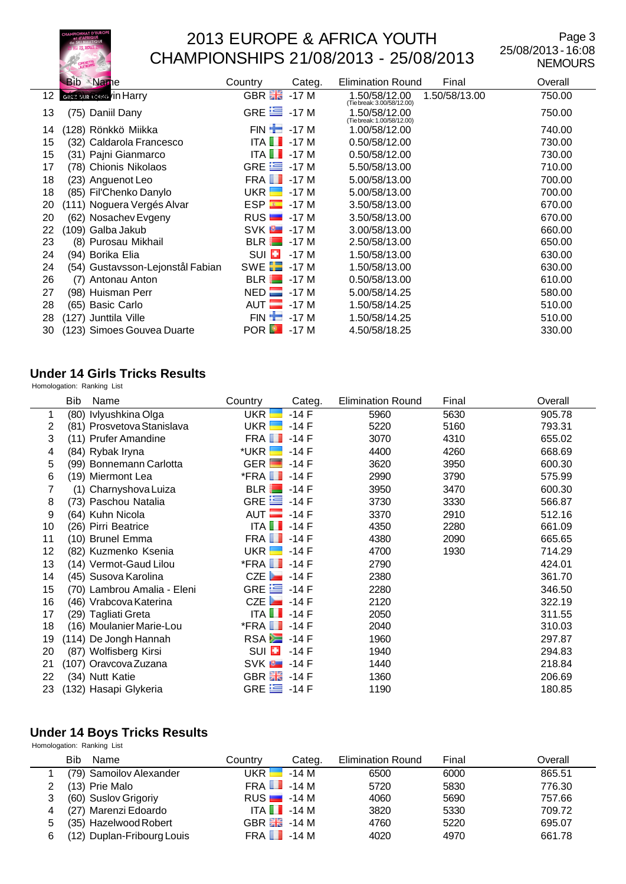

Page 3 25/08/2013 - 16:08 NEMOURS

|    | <b>Bib Name</b>                  | Country                  | Categ. | Final<br><b>Elimination Round</b>                            | Overall |
|----|----------------------------------|--------------------------|--------|--------------------------------------------------------------|---------|
| 12 | <b>GREZ SUR LOUNG /IN Harry</b>  | GBR <b>Ha</b>            | $-17M$ | 1.50/58/12.00<br>1.50/58/13.00<br>(Tie break: 3.00/58/12.00) | 750.00  |
| 13 | (75) Daniil Dany                 | GRE $\equiv$ -17 M       |        | 1.50/58/12.00<br>(Tie break: 1.00/58/12.00)                  | 750.00  |
| 14 | (128) Rönkkö Miikka              | $FIN \rightarrow -17 M$  |        | 1.00/58/12.00                                                | 740.00  |
| 15 | (32) Caldarola Francesco         | ITA $\blacksquare$ -17 M |        | 0.50/58/12.00                                                | 730.00  |
| 15 | (31) Pajni Gianmarco             | ITA                      | $-17M$ | 0.50/58/12.00                                                | 730.00  |
| 17 | (78) Chionis Nikolaos            | GRE $\equiv$             | -17 M  | 5.50/58/13.00                                                | 710.00  |
| 18 | (23) Anguenot Leo                | FRA <b>I</b>             | $-17M$ | 5.00/58/13.00                                                | 700.00  |
| 18 | (85) Fil'Chenko Danylo           | UKR                      | $-17M$ | 5.00/58/13.00                                                | 700.00  |
| 20 | (111) Noguera Vergés Alvar       | ESP                      | $-17M$ | 3.50/58/13.00                                                | 670.00  |
| 20 | (62) Nosachev Evgeny             | $RUS$ $\blacksquare$     | $-17M$ | 3.50/58/13.00                                                | 670.00  |
| 22 | (109) Galba Jakub                | SVK <sup>B</sup>         | $-17M$ | 3.00/58/13.00                                                | 660.00  |
| 23 | (8) Purosau Mikhail              | $BLR$ $-17M$             |        | 2.50/58/13.00                                                | 650.00  |
| 24 | (94) Borika Elia                 | SUI <b>E</b>             | $-17M$ | 1.50/58/13.00                                                | 630.00  |
| 24 | (54) Gustavsson-Lejonstål Fabian | SWE <b>E</b>             | -17 M  | 1.50/58/13.00                                                | 630.00  |
| 26 | (7) Antonau Anton                | <b>BLR</b>               | $-17M$ | 0.50/58/13.00                                                | 610.00  |
| 27 | (98) Huisman Perr                | $NED$ $\blacksquare$     | $-17M$ | 5.00/58/14.25                                                | 580.00  |
| 28 | (65) Basic Carlo                 | AUT                      | $-17M$ | 1.50/58/14.25                                                | 510.00  |
| 28 | 127) Junttila Ville              | $FIN -$                  | $-17M$ | 1.50/58/14.25                                                | 510.00  |
| 30 | 123) Simoes Gouvea Duarte        | <b>POR</b>               | $-17M$ | 4.50/58/18.25                                                | 330.00  |

#### **Under 14 Girls Tricks Results**

Homologation: Ranking List

|    | Bib | Name                        | Country                      | Categ.  | <b>Elimination Round</b> | Final | Overall |
|----|-----|-----------------------------|------------------------------|---------|--------------------------|-------|---------|
| 1  |     | (80) Ivlyushkina Olga       | UKR                          | $-14F$  | 5960                     | 5630  | 905.78  |
| 2  |     | (81) Prosvetova Stanislava  | UKR                          | $-14$ F | 5220                     | 5160  | 793.31  |
| 3  |     | (11) Prufer Amandine        | <b>FRA</b> 1-14 F            |         | 3070                     | 4310  | 655.02  |
| 4  |     | (84) Rybak Iryna            | *UKR <b>Hand</b>             | $-14F$  | 4400                     | 4260  | 668.69  |
| 5  |     | (99) Bonnemann Carlotta     | GER $\blacksquare$ -14 F     |         | 3620                     | 3950  | 600.30  |
| 6  |     | (19) Miermont Lea           | $*$ FRA $\blacksquare$ -14 F |         | 2990                     | 3790  | 575.99  |
| 7  |     | (1) Charnyshova Luiza       | $BLR$ $-14F$                 |         | 3950                     | 3470  | 600.30  |
| 8  |     | (73) Paschou Natalia        | GRE $\equiv$ -14 F           |         | 3730                     | 3330  | 566.87  |
| 9  |     | (64) Kuhn Nicola            | AUT $-14F$                   |         | 3370                     | 2910  | 512.16  |
| 10 |     | (26) Pirri Beatrice         | ITA $\blacksquare$ -14 F     |         | 4350                     | 2280  | 661.09  |
| 11 |     | (10) Brunel Emma            | <b>FRA</b> 1-14 F            |         | 4380                     | 2090  | 665.65  |
| 12 |     | (82) Kuzmenko Ksenia        | UKR $\blacksquare$ -14 F     |         | 4700                     | 1930  | 714.29  |
| 13 |     | (14) Vermot-Gaud Lilou      | $*$ FRA $\blacksquare$ -14 F |         | 2790                     |       | 424.01  |
| 14 |     | (45) Susova Karolina        | CZE $\Box$ -14 F             |         | 2380                     |       | 361.70  |
| 15 |     | (70) Lambrou Amalia - Eleni | GRE $\equiv$ -14 F           |         | 2280                     |       | 346.50  |
| 16 |     | (46) Vrabcova Katerina      | CZE $\blacksquare$ 14 F      |         | 2120                     |       | 322.19  |
| 17 |     | (29) Tagliati Greta         | $ITA$ $\blacksquare$ -14 F   |         | 2050                     |       | 311.55  |
| 18 |     | (16) Moulanier Marie-Lou    | $*$ FRA $\blacksquare$ -14 F |         | 2040                     |       | 310.03  |
| 19 |     | (114) De Jongh Hannah       | $RSA = 14F$                  |         | 1960                     |       | 297.87  |
| 20 |     | (87) Wolfisberg Kirsi       | SUI <b>EI</b>                | $-14F$  | 1940                     |       | 294.83  |
| 21 |     | (107) Oravcova Zuzana       | SVK <b>B</b>                 | $-14$ F | 1440                     |       | 218.84  |
| 22 |     | (34) Nutt Katie             | GBR $\frac{12}{200}$ -14 F   |         | 1360                     |       | 206.69  |
| 23 |     | (132) Hasapi Glykeria       | GRE $\equiv$ -14 F           |         | 1190                     |       | 180.85  |

#### **Under 14 Boys Tricks Results**

|   | Bib<br>Name                | Countrv                    | Categ. | <b>Elimination Round</b> | Final | Overall |
|---|----------------------------|----------------------------|--------|--------------------------|-------|---------|
|   | (79) Samoilov Alexander    | $UKR$ $\Box$               | -14 M  | 6500                     | 6000  | 865.51  |
|   | (13) Prie Malo             | $FRA$ $\blacksquare$ -14 M |        | 5720                     | 5830  | 776.30  |
|   | (60) Suslov Grigoriy       | $RUS$ $-14M$               |        | 4060                     | 5690  | 757.66  |
| 4 | (27) Marenzi Edoardo       | $ITA$ $\blacksquare$ -14 M |        | 3820                     | 5330  | 709.72  |
| 5 | (35) Hazelwood Robert      | GBR $\frac{12}{100}$ -14 M |        | 4760                     | 5220  | 695.07  |
| 6 | (12) Duplan-Fribourg Louis | $FRA$ $\blacksquare$ -14 M |        | 4020                     | 4970  | 661.78  |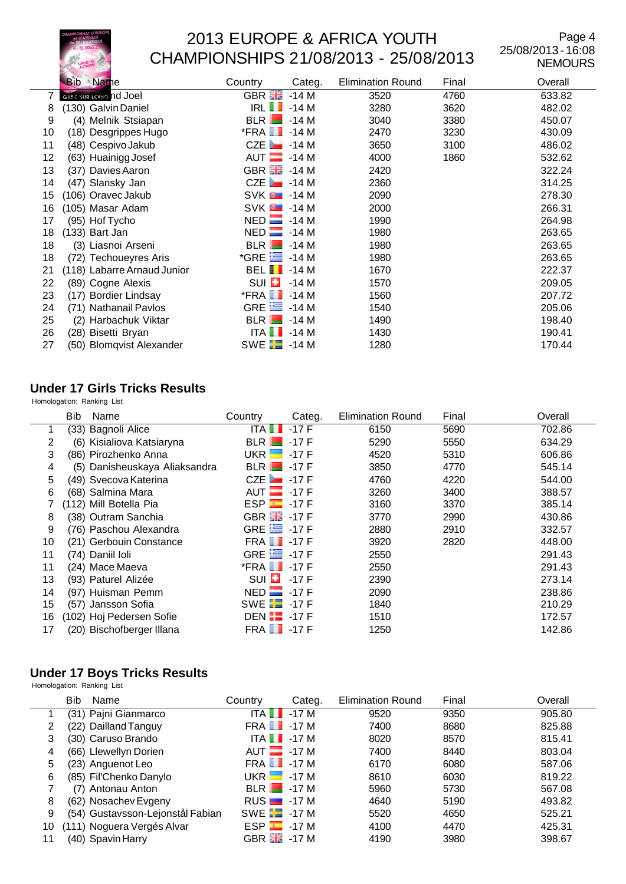

 $\overline{\phantom{0}}$ 

## 2013 EUROPE & AFRICA YOUTH CHAMPIONSHIPS 21/08/2013 - 25/08/2013

Page 4 25/08/2013 - 16:08 NEMOURS

|    | <b>Bib</b> Name             | Country                   | Categ. | <b>Elimination Round</b> | Final | Overall |
|----|-----------------------------|---------------------------|--------|--------------------------|-------|---------|
|    | GREZ SUR LOING nd Joel      | GBR <b>He</b>             | $-14M$ | 3520                     | 4760  | 633.82  |
| 8  | (130) Galvin Daniel         | IRL II                    | $-14M$ | 3280                     | 3620  | 482.02  |
| 9  | (4) Melnik Stsiapan         | BLR                       | $-14M$ | 3040                     | 3380  | 450.07  |
| 10 | (18) Desgrippes Hugo        | *FRA LL                   | -14 M  | 2470                     | 3230  | 430.09  |
| 11 | (48) Cespivo Jakub          | CZE                       | -14 M  | 3650                     | 3100  | 486.02  |
| 12 | (63) Huainigg Josef         | $AUT$ -14 M               |        | 4000                     | 1860  | 532.62  |
| 13 | (37) Davies Aaron           | GBR $\frac{12}{10}$ -14 M |        | 2420                     |       | 322.24  |
| 14 | (47) Slansky Jan            | CZE                       | -14 M  | 2360                     |       | 314.25  |
| 15 | (106) Oravec Jakub          | $SVK$ $\approx$ -14 M     |        | 2090                     |       | 278.30  |
| 16 | (105) Masar Adam            | $SVK$ $-14M$              |        | 2000                     |       | 266.31  |
| 17 | (95) Hof Tycho              | $NED$ $\blacksquare$      | $-14M$ | 1990                     |       | 264.98  |
| 18 | (133) Bart Jan              | NED                       | -14 M  | 1980                     |       | 263.65  |
| 18 | (3) Liasnoi Arseni          | BLR                       | $-14M$ | 1980                     |       | 263.65  |
| 18 | (72) Techoueyres Aris       | $*$ GRE $\equiv$          | -14 M  | 1980                     |       | 263.65  |
| 21 | (118) Labarre Arnaud Junior | <b>BELII</b>              | $-14M$ | 1670                     |       | 222.37  |
| 22 | (89) Cogne Alexis           | SUI <b>E</b>              | -14 M  | 1570                     |       | 209.05  |
| 23 | (17) Bordier Lindsay        | $*$ FRA $\blacksquare$    | -14 M  | 1560                     |       | 207.72  |
| 24 | (71) Nathanail Pavlos       | GRE $\equiv$              | $-14M$ | 1540                     |       | 205.06  |
| 25 | (2) Harbachuk Viktar        | <b>BLR</b>                | -14 M  | 1490                     |       | 198.40  |
| 26 | (28) Bisetti Bryan          | ITA $\blacksquare$        | -14 M  | 1430                     |       | 190.41  |
| 27 | (50) Blomqvist Alexander    | SWE <b>2</b> -14 M        |        | 1280                     |       | 170.44  |

### **Under 17 Girls Tricks Results**

Homologation: Ranking List

|    | <b>Bib</b> | Name                          | Country                      | Categ. | <b>Elimination Round</b> | Final | Overall |
|----|------------|-------------------------------|------------------------------|--------|--------------------------|-------|---------|
| 1  |            | (33) Bagnoli Alice            | ITA <b>I</b>                 | $-17F$ | 6150                     | 5690  | 702.86  |
| 2  |            | (6) Kisialiova Katsiaryna     | <b>BLR</b>                   | $-17F$ | 5290                     | 5550  | 634.29  |
| 3  |            | (86) Pirozhenko Anna          | UKR <b>I H</b>               | -17 F  | 4520                     | 5310  | 606.86  |
| 4  |            | (5) Danisheuskaya Aliaksandra | $BLR$ $-17F$                 |        | 3850                     | 4770  | 545.14  |
| 5  |            | (49) Svecova Katerina         | $CZE$ 17 F                   |        | 4760                     | 4220  | 544.00  |
| 6  |            | (68) Salmina Mara             | AUT $-17 F$                  |        | 3260                     | 3400  | 388.57  |
|    |            | (112) Mill Botella Pia        | <b>ESP ED</b>                | -17 F  | 3160                     | 3370  | 385.14  |
| 8  |            | (38) Outram Sanchia           | GBR 品                        | $-17F$ | 3770                     | 2990  | 430.86  |
| 9  |            | (76) Paschou Alexandra        | GRE $\equiv$ -17 F           |        | 2880                     | 2910  | 332.57  |
| 10 |            | (21) Gerbouin Constance       | <b>FRA 7 -17 F</b>           |        | 3920                     | 2820  | 448.00  |
| 11 |            | (74) Daniil Ioli              | GRE $\equiv$ -17 F           |        | 2550                     |       | 291.43  |
| 11 |            | (24) Mace Maeva               | $*$ FRA $\blacksquare$ -17 F |        | 2550                     |       | 291.43  |
| 13 |            | (93) Paturel Alizée           | SUI $\Box$ -17 F             |        | 2390                     |       | 273.14  |
| 14 |            | (97) Huisman Pemm             | $NED$ $-17F$                 |        | 2090                     |       | 238.86  |
| 15 |            | (57) Jansson Sofia            | SWE $\Box$ -17 F             |        | 1840                     |       | 210.29  |
| 16 |            | (102) Hoj Pedersen Sofie      | DEN $\Box$ -17 F             |        | 1510                     |       | 172.57  |
| 17 |            | (20) Bischofberger Illana     | <b>FRA 7 -17 F</b>           |        | 1250                     |       | 142.86  |

#### **Under 17 Boys Tricks Results**

|                       | Bib<br>Name                      | Country                    | Categ. | <b>Elimination Round</b> | Final | Overall |
|-----------------------|----------------------------------|----------------------------|--------|--------------------------|-------|---------|
|                       | (31) Pajni Gianmarco             | ITA $\blacksquare$         | -17 M  | 9520                     | 9350  | 905.80  |
| $\mathbf{2}^{\prime}$ | (22) Dailland Tanguy             | <b>FRA 1</b> -17 M         |        | 7400                     | 8680  | 825.88  |
| 3                     | (30) Caruso Brando               | ITA $\blacksquare$ -17 M   |        | 8020                     | 8570  | 815.41  |
| 4                     | (66) Llewellyn Dorien            | $AUT$ $-17M$               |        | 7400                     | 8440  | 803.04  |
| 5                     | (23) Anguenot Leo                | $FRA$ $-17M$               |        | 6170                     | 6080  | 587.06  |
| 6                     | (85) Fil'Chenko Danylo           | UKR $\blacksquare$ -17 M   |        | 8610                     | 6030  | 819.22  |
|                       | (7) Antonau Anton                | $BLR$ $-17M$               |        | 5960                     | 5730  | 567.08  |
| 8                     | (62) Nosachev Evgeny             | $RUS$ $-17M$               |        | 4640                     | 5190  | 493.82  |
| 9                     | (54) Gustavsson-Lejonstål Fabian | SWE $\Box$ -17 M           |        | 5520                     | 4650  | 525.21  |
| 10                    | (111) Noguera Vergés Alvar       | ESP                        | -17 M  | 4100                     | 4470  | 425.31  |
| 11                    | (40) Spavin Harry                | GBR $\frac{12}{100}$ -17 M |        | 4190                     | 3980  | 398.67  |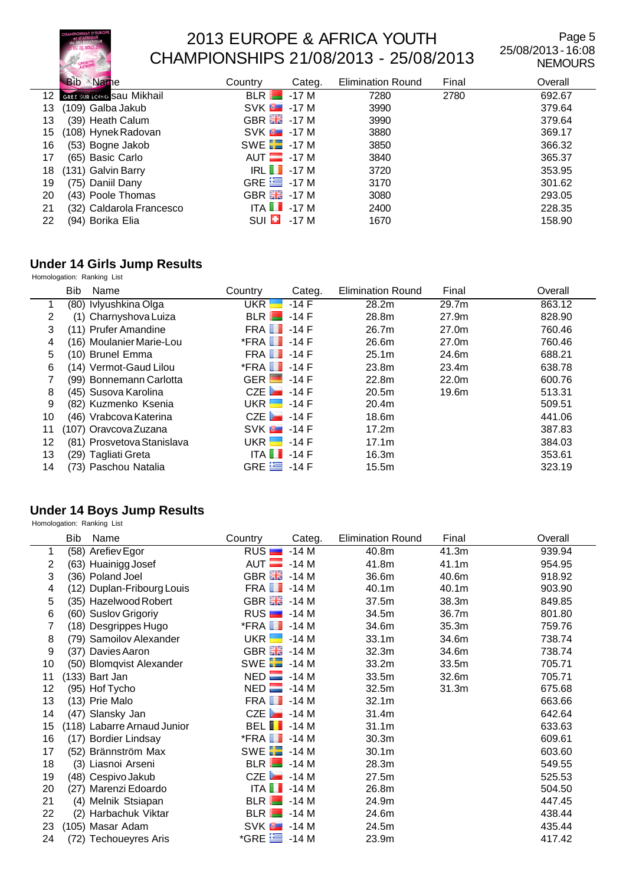

Page 5 25/08/2013 - 16:08 NEMOURS

|    | Bib<br>Name                       | Country                      | Categ. | <b>Elimination Round</b> | Final | Overall |
|----|-----------------------------------|------------------------------|--------|--------------------------|-------|---------|
| 12 | <b>GREZ SUR LOING SAU MIKhail</b> | $BLR$ $-17M$                 |        | 7280                     | 2780  | 692.67  |
| 13 | (109) Galba Jakub                 | $SVK$ $\rightarrow$ -17 M    |        | 3990                     |       | 379.64  |
| 13 | (39) Heath Calum                  | GBR $\frac{12}{100}$ -17 M   |        | 3990                     |       | 379.64  |
| 15 | (108) Hynek Radovan               | $SVK = -17 M$                |        | 3880                     |       | 369.17  |
| 16 | (53) Bogne Jakob                  | SWE $\Box$ -17 M             |        | 3850                     |       | 366.32  |
| 17 | (65) Basic Carlo                  | $AUT$ -17 M                  |        | 3840                     |       | 365.37  |
| 18 | (131) Galvin Barry                | $IRL$ $-17M$                 |        | 3720                     |       | 353.95  |
| 19 | (75) Daniil Dany                  | GRE $\equiv$ -17 M           |        | 3170                     |       | 301.62  |
| 20 | (43) Poole Thomas                 | GBR $\frac{100}{100}$ - 17 M |        | 3080                     |       | 293.05  |
| 21 | (32) Caldarola Francesco          | ITA $\blacksquare$ -17 M     |        | 2400                     |       | 228.35  |
| 22 | (94) Borika Elia                  | $\mathsf{S}\cup\mathsf{I}$   | -17 M  | 1670                     |       | 158.90  |

# **Under 14 Girls Jump Results**

Homologation: Ranking List

|                | <b>Bib</b><br>Name         | Country<br>Categ.            | <b>Elimination Round</b> | Final             | Overall |
|----------------|----------------------------|------------------------------|--------------------------|-------------------|---------|
|                | (80) Ivlyushkina Olga      | UKR<br>$-14$ F               | 28.2m                    | 29.7m             | 863.12  |
| $\overline{2}$ | (1) Charnyshova Luiza      | $BLR$ $-14F$                 | 28.8m                    | 27.9m             | 828.90  |
| 3              | (11) Prufer Amandine       | $FRA$ $\blacksquare$ -14 F   | 26.7m                    | 27.0m             | 760.46  |
| 4              | (16) Moulanier Marie-Lou   | $*$ FRA $\blacksquare$ -14 F | 26.6m                    | 27.0m             | 760.46  |
| 5              | (10) Brunel Emma           | $FRA$ $\blacksquare$ -14 F   | 25.1m                    | 24.6m             | 688.21  |
| 6              | (14) Vermot-Gaud Lilou     | $*$ FRA $\blacksquare$ -14 F | 23.8m                    | 23.4 <sub>m</sub> | 638.78  |
|                | (99) Bonnemann Carlotta    | GER $\blacksquare$ -14 F     | 22.8 <sub>m</sub>        | 22.0m             | 600.76  |
| 8              | (45) Susova Karolina       | CZE $\overline{$ -14 F       | 20.5 <sub>m</sub>        | 19.6m             | 513.31  |
| 9              | (82) Kuzmenko Ksenia       | UKR $-14F$                   | 20.4m                    |                   | 509.51  |
| 10             | (46) Vrabcova Katerina     | CZE $\blacksquare$ -14 F     | 18.6m                    |                   | 441.06  |
| 11             | (107) Oravcova Zuzana      | $SVK = 14F$                  | 17.2m                    |                   | 387.83  |
| 12             | (81) Prosvetova Stanislava | UKR $\blacksquare$ -14 F     | 17.1m                    |                   | 384.03  |
| 13             | (29) Tagliati Greta        | ITA $\blacksquare$ -14 F     | 16.3m                    |                   | 353.61  |
| 14             | (73) Paschou Natalia       | GRE $\equiv$ -14 F           | 15.5m                    |                   | 323.19  |

#### **Under 14 Boys Jump Results**

|    | Bib | Name                        | Country                | Categ. | <b>Elimination Round</b> | Final | Overall |
|----|-----|-----------------------------|------------------------|--------|--------------------------|-------|---------|
| 1  |     | (58) Arefiev Egor           | RUS <sub>I</sub><br>-  | $-14M$ | 40.8m                    | 41.3m | 939.94  |
| 2  |     | (63) Huainigg Josef         | AUT <b>E</b>           | $-14M$ | 41.8m                    | 41.1m | 954.95  |
| 3  |     | (36) Poland Joel            | GBR <b>HE</b>          | $-14M$ | 36.6m                    | 40.6m | 918.92  |
| 4  |     | (12) Duplan-Fribourg Louis  | FRA <b>II</b>          | -14 M  | 40.1m                    | 40.1m | 903.90  |
| 5  |     | (35) Hazelwood Robert       | GBR <b>Ha</b>          | -14 M  | 37.5m                    | 38.3m | 849.85  |
| 6  |     | (60) Suslov Grigoriy        | RUS                    | -14 M  | 34.5m                    | 36.7m | 801.80  |
| 7  |     | (18) Desgrippes Hugo        | $*$ FRA $\blacksquare$ | -14 M  | 34.6m                    | 35.3m | 759.76  |
| 8  |     | (79) Samoilov Alexander     | UKR                    | $-14M$ | 33.1m                    | 34.6m | 738.74  |
| 9  |     | (37) Davies Aaron           | GBR 品                  | $-14M$ | 32.3m                    | 34.6m | 738.74  |
| 10 |     | (50) Blomqvist Alexander    | SWE <b>F</b>           | $-14M$ | 33.2m                    | 33.5m | 705.71  |
| 11 |     | (133) Bart Jan              | $NED$ $\blacksquare$   | $-14M$ | 33.5m                    | 32.6m | 705.71  |
| 12 |     | (95) Hof Tycho              | NED                    | -14 M  | 32.5m                    | 31.3m | 675.68  |
| 13 |     | (13) Prie Malo              | FRA <b>I</b>           | $-14M$ | 32.1m                    |       | 663.66  |
| 14 |     | (47) Slansky Jan            | CZE                    | -14 M  | 31.4m                    |       | 642.64  |
| 15 |     | (118) Labarre Arnaud Junior | <b>BEL</b> 14 M        |        | 31.1m                    |       | 633.63  |
| 16 |     | (17) Bordier Lindsay        | *FRA <sup>II</sup>     | $-14M$ | 30.3 <sub>m</sub>        |       | 609.61  |
| 17 |     | (52) Brännström Max         | SWE $\Box$ -14 M       |        | 30.1m                    |       | 603.60  |
| 18 |     | (3) Liasnoi Arseni          | BLR                    | $-14M$ | 28.3m                    |       | 549.55  |
| 19 |     | (48) Cespivo Jakub          | CZE                    | $-14M$ | 27.5m                    |       | 525.53  |
| 20 |     | (27) Marenzi Edoardo        | ITA $\blacksquare$     | $-14M$ | 26.8m                    |       | 504.50  |
| 21 |     | (4) Melnik Stsiapan         | BLR                    | $-14M$ | 24.9m                    |       | 447.45  |
| 22 |     | (2) Harbachuk Viktar        | BLR                    | $-14M$ | 24.6m                    |       | 438.44  |
| 23 |     | (105) Masar Adam            | SVK <b>B</b>           | -14 M  | 24.5m                    |       | 435.44  |
| 24 |     | (72) Techoueyres Aris       | $*GRE \equiv -14 M$    |        | 23.9m                    |       | 417.42  |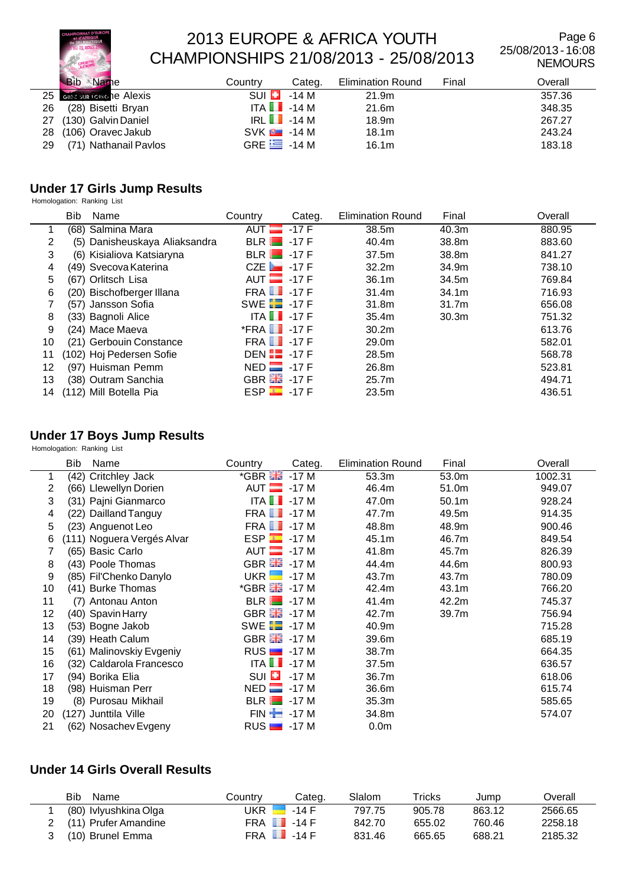

Page 6 25/08/2013 - 16:08 NEMOURS

|    | Bib<br>Name               | Country                  | Categ. | <b>Elimination Round</b> | Final | Overall |
|----|---------------------------|--------------------------|--------|--------------------------|-------|---------|
|    | 25 GREEGUR LONG TO ALEXIS | SUI <b>EL</b>            | -14 M  | 21.9m                    |       | 357.36  |
| 26 | (28) Bisetti Bryan        | ITA $\blacksquare$ -14 M |        | 21.6m                    |       | 348.35  |
| 27 | (130) Galvin Daniel       | $IRL$ $-14M$             |        | 18.9m                    |       | 267.27  |
| 28 | (106) Oravec Jakub        | $SVK$ $-14M$             |        | 18.1 <sub>m</sub>        |       | 243.24  |
| 29 | (71) Nathanail Pavlos     | GRE $\equiv$ -14 M       |        | 16.1m                    |       | 183.18  |

### **Under 17 Girls Jump Results**

Homologation: Ranking List

|    | <b>Bib</b> | Name                          | Country                      | Categ. | <b>Elimination Round</b> | Final             | Overall |
|----|------------|-------------------------------|------------------------------|--------|--------------------------|-------------------|---------|
|    |            | (68) Salmina Mara             | AUT $-17F$                   |        | 38.5m                    | 40.3 <sub>m</sub> | 880.95  |
| 2  |            | (5) Danisheuskaya Aliaksandra | $BLR$ $-17F$                 |        | 40.4m                    | 38.8m             | 883.60  |
| 3  |            | (6) Kisialiova Katsiaryna     | $BLR$ $-17F$                 |        | 37.5m                    | 38.8m             | 841.27  |
| 4  |            | (49) Svecova Katerina         | CZE $\blacksquare$ 17 F      |        | 32.2 <sub>m</sub>        | 34.9m             | 738.10  |
| 5  |            | (67) Orlitsch Lisa            | AUT $-17 F$                  |        | 36.1 <sub>m</sub>        | 34.5m             | 769.84  |
| 6  |            | (20) Bischofberger Illana     | $FRA$ $\blacksquare$ -17 F   |        | 31.4 <sub>m</sub>        | 34.1m             | 716.93  |
|    |            | (57) Jansson Sofia            | SWE $\Box$ -17 F             |        | 31.8m                    | 31.7m             | 656.08  |
| 8  |            | (33) Bagnoli Alice            | ITA $\blacksquare$ -17 F     |        | 35.4m                    | 30.3 <sub>m</sub> | 751.32  |
| 9  |            | (24) Mace Maeva               | $*$ FRA $\blacksquare$ -17 F |        | 30.2 <sub>m</sub>        |                   | 613.76  |
| 10 |            | (21) Gerbouin Constance       | <b>FRA 1</b> -17 F           |        | 29.0m                    |                   | 582.01  |
| 11 |            | (102) Hoj Pedersen Sofie      | DEN $\Box$ -17 F             |        | 28.5m                    |                   | 568.78  |
| 12 |            | (97) Huisman Pemm             | $NED$ -17 F                  |        | 26.8m                    |                   | 523.81  |
| 13 |            | (38) Outram Sanchia           | GBR $\frac{12}{200}$ - 17 F  |        | 25.7 <sub>m</sub>        |                   | 494.71  |
| 14 |            | (112) Mill Botella Pia        | $ESP = -17F$                 |        | 23.5m                    |                   | 436.51  |

#### **Under 17 Boys Jump Results**

Homologation: Ranking List

|    | Bib | Name                       | Country                       | Categ. | <b>Elimination Round</b> | Final             | Overall |
|----|-----|----------------------------|-------------------------------|--------|--------------------------|-------------------|---------|
| 1  |     | (42) Critchley Jack        | $*$ GBR $\frac{12}{12}$ -17 M |        | 53.3m                    | 53.0m             | 1002.31 |
| 2  |     | (66) Llewellyn Dorien      | $AUT$ -17 M                   |        | 46.4m                    | 51.0m             | 949.07  |
| 3  |     | (31) Pajni Gianmarco       | ITA $\blacksquare$ -17 M      |        | 47.0m                    | 50.1 <sub>m</sub> | 928.24  |
| 4  |     | (22) Dailland Tanguy       | <b>FRA 1</b> -17 M            |        | 47.7m                    | 49.5m             | 914.35  |
| 5  |     | (23) Anguenot Leo          | <b>FRA 1</b> -17 M            |        | 48.8m                    | 48.9m             | 900.46  |
| 6  |     | (111) Noguera Vergés Alvar | $ESP = -17M$                  |        | 45.1 <sub>m</sub>        | 46.7m             | 849.54  |
|    |     | (65) Basic Carlo           | $AUT$ -17 M                   |        | 41.8m                    | 45.7m             | 826.39  |
| 8  |     | (43) Poole Thomas          | GBR 28 - 17 M                 |        | 44.4m                    | 44.6m             | 800.93  |
| 9  |     | (85) Fil'Chenko Danylo     | $UKR$ $\blacksquare$          | $-17M$ | 43.7m                    | 43.7m             | 780.09  |
| 10 |     | (41) Burke Thomas          | *GBR <b>He</b> -17 M          |        | 42.4m                    | 43.1m             | 766.20  |
| 11 |     | (7) Antonau Anton          | $BLR$ $-17M$                  |        | 41.4m                    | 42.2m             | 745.37  |
| 12 |     | (40) Spavin Harry          | GBR $\frac{12}{100}$ -17 M    |        | 42.7m                    | 39.7m             | 756.94  |
| 13 |     | (53) Bogne Jakob           | SWE $\Box$ -17 M              |        | 40.9m                    |                   | 715.28  |
| 14 |     | (39) Heath Calum           | GBR $\frac{12}{100}$ -17 M    |        | 39.6m                    |                   | 685.19  |
| 15 |     | (61) Malinovskiy Evgeniy   | $RUS$ $-17M$                  |        | 38.7m                    |                   | 664.35  |
| 16 |     | (32) Caldarola Francesco   | ITA $\blacksquare$ -17 M      |        | 37.5m                    |                   | 636.57  |
| 17 |     | (94) Borika Elia           | $SUI$ $\Box$                  | $-17M$ | 36.7m                    |                   | 618.06  |
| 18 |     | (98) Huisman Perr          | $NED$ $\Box$                  | -17 M  | 36.6m                    |                   | 615.74  |
| 19 |     | (8) Purosau Mikhail        | $BLR$ $-17M$                  |        | 35.3m                    |                   | 585.65  |
| 20 |     | (127) Junttila Ville       | $FIN -17 M$                   |        | 34.8m                    |                   | 574.07  |
| 21 |     | (62) Nosachev Evgeny       | $RUS$ $-17M$                  |        | 0.0 <sub>m</sub>         |                   |         |

#### **Under 14 Girls Overall Results**

|   | <b>Bib</b><br>Name     | Countrv                  | Categ.  | Slalom | Tricks | Jump   | Dverall |
|---|------------------------|--------------------------|---------|--------|--------|--------|---------|
|   | (80) Ivlyushkina Olga  | JKR I                    | $-14$ F | 797.75 | 905.78 | 863.12 | 2566.65 |
|   | 2 (11) Prufer Amandine | FRA $\blacksquare$ -14 F |         | 842.70 | 655.02 | 760.46 | 2258.18 |
| 3 | (10) Brunel Emma       | FRA $\blacksquare$ -14 F |         | 831.46 | 665.65 | 688.21 | 2185.32 |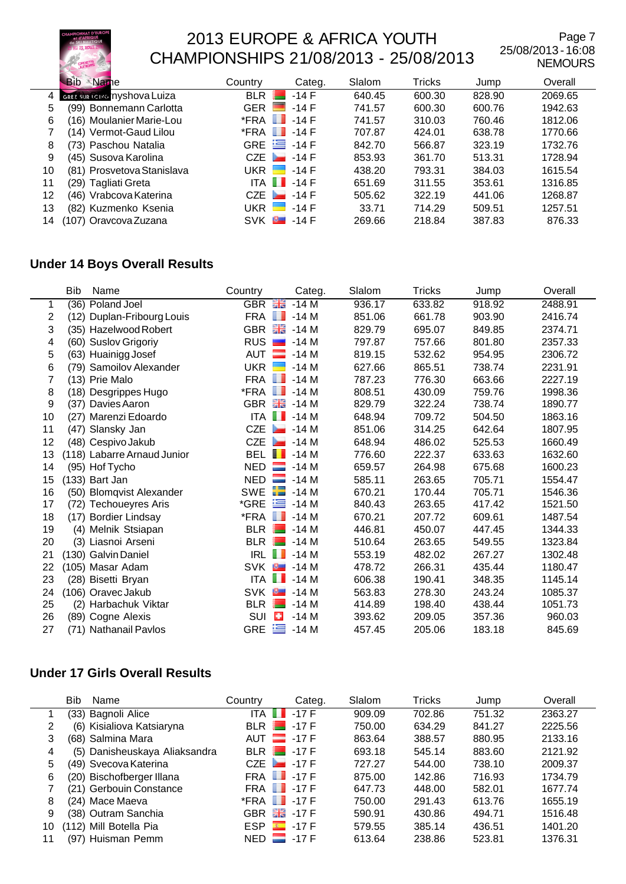

Page 7 25/08/2013 - 16:08 NEMOURS

|    | Name<br><b>Bib</b>           | Country              | Categ.                     | Slalom | Tricks | Jump   | Overall |
|----|------------------------------|----------------------|----------------------------|--------|--------|--------|---------|
| 4  | GREZ SUR LOING TYSHOVA LUIZA | <b>BLR</b>           | $-14F$                     | 640.45 | 600.30 | 828.90 | 2069.65 |
| 5  | (99) Bonnemann Carlotta      | <b>GER</b><br>ست     | $-14F$                     | 741.57 | 600.30 | 600.76 | 1942.63 |
| 6  | (16) Moulanier Marie-Lou     | ш<br>*FRA            | $-14F$                     | 741.57 | 310.03 | 760.46 | 1812.06 |
|    | (14) Vermot-Gaud Lilou       | $*$ FRA $\Box$       | $-14F$                     | 707.87 | 424.01 | 638.78 | 1770.66 |
| 8  | (73) Paschou Natalia         | GRE $\equiv$ -14 F   |                            | 842.70 | 566.87 | 323.19 | 1732.76 |
| 9  | (45) Susova Karolina         | $CZE$ $-14F$         |                            | 853.93 | 361.70 | 513.31 | 1728.94 |
| 10 | (81) Prosvetova Stanislava   | UKR H                | $-14F$                     | 438.20 | 793.31 | 384.03 | 1615.54 |
| 11 | (29) Tagliati Greta          |                      | $ITA$ $\blacksquare$ -14 F | 651.69 | 311.55 | 353.61 | 1316.85 |
| 12 | (46) Vrabcova Katerina       | $CZE$ $\blacksquare$ | $-14F$                     | 505.62 | 322.19 | 441.06 | 1268.87 |
| 13 | (82) Kuzmenko Ksenia         | UKR <b>H</b>         | $-14$ F                    | 33.71  | 714.29 | 509.51 | 1257.51 |
| 14 | (107) Oravcova Zuzana        | $\sim$<br><b>SVK</b> | $-14$ F                    | 269.66 | 218.84 | 387.83 | 876.33  |

### **Under 14 Boys Overall Results**

|    | <b>Bib</b> | Name                        | Country                | Categ.                     | Slalom | Tricks | Jump   | Overall |
|----|------------|-----------------------------|------------------------|----------------------------|--------|--------|--------|---------|
| 1  |            | (36) Poland Joel            | <b>GBR</b>             | 원동<br>정동<br>$-14M$         | 936.17 | 633.82 | 918.92 | 2488.91 |
| 2  |            | (12) Duplan-Fribourg Louis  | FRA                    | $\blacksquare$ -14 M       | 851.06 | 661.78 | 903.90 | 2416.74 |
| 3  |            | (35) Hazelwood Robert       |                        | GBR $\frac{12}{100}$ -14 M | 829.79 | 695.07 | 849.85 | 2374.71 |
| 4  |            | (60) Suslov Grigoriy        | <b>RUS</b>             | $-14M$                     | 797.87 | 757.66 | 801.80 | 2357.33 |
| 5  |            | (63) Huainigg Josef         | AUT                    | $-14M$                     | 819.15 | 532.62 | 954.95 | 2306.72 |
| 6  |            | (79) Samoilov Alexander     | UKR <sup>I</sup>       | $-14M$                     | 627.66 | 865.51 | 738.74 | 2231.91 |
| 7  |            | (13) Prie Malo              |                        | <b>FRA</b> 1-14 M          | 787.23 | 776.30 | 663.66 | 2227.19 |
| 8  |            | (18) Desgrippes Hugo        | *FRA                   | <b>THE R</b><br>$-14M$     | 808.51 | 430.09 | 759.76 | 1998.36 |
| 9  |            | (37) Davies Aaron           |                        | GBR $\frac{12}{100}$ -14 M | 829.79 | 322.24 | 738.74 | 1890.77 |
| 10 |            | (27) Marenzi Edoardo        |                        | ITA $\blacksquare$ -14 M   | 648.94 | 709.72 | 504.50 | 1863.16 |
| 11 |            | (47) Slansky Jan            | <b>CZE</b>             | $-14M$                     | 851.06 | 314.25 | 642.64 | 1807.95 |
| 12 |            | (48) Cespivo Jakub          | CZE                    | $\sim$<br>-14 M            | 648.94 | 486.02 | 525.53 | 1660.49 |
| 13 |            | (118) Labarre Arnaud Junior | BEL II                 | $-14M$                     | 776.60 | 222.37 | 633.63 | 1632.60 |
| 14 |            | (95) Hof Tycho              | $NED$ $\Box$           | -14 M                      | 659.57 | 264.98 | 675.68 | 1600.23 |
| 15 |            | $(133)$ Bart Jan            | <b>NED</b>             | $\Box$ -14 M               | 585.11 | 263.65 | 705.71 | 1554.47 |
| 16 |            | (50) Blomqvist Alexander    | <b>SWE</b>             | $\blacksquare$ -14 M       | 670.21 | 170.44 | 705.71 | 1546.36 |
| 17 |            | (72) Techoueyres Aris       | *GRE                   | 隼<br>$-14M$                | 840.43 | 263.65 | 417.42 | 1521.50 |
| 18 |            | (17) Bordier Lindsay        | $*$ FRA $\blacksquare$ | $-14M$                     | 670.21 | 207.72 | 609.61 | 1487.54 |
| 19 |            | (4) Melnik Stsiapan         | BLR <b>I</b>           | $-14M$                     | 446.81 | 450.07 | 447.45 | 1344.33 |
| 20 |            | (3) Liasnoi Arseni          | <b>BLR</b>             | -14 M                      | 510.64 | 263.65 | 549.55 | 1323.84 |
| 21 |            | (130) Galvin Daniel         | IRL <b>II</b>          | $-14M$                     | 553.19 | 482.02 | 267.27 | 1302.48 |
| 22 |            | (105) Masar Adam            |                        | SVK <b>8 14 M</b>          | 478.72 | 266.31 | 435.44 | 1180.47 |
| 23 |            | (28) Bisetti Bryan          | ITA $\blacksquare$     | $-14M$                     | 606.38 | 190.41 | 348.35 | 1145.14 |
| 24 |            | (106) Oravec Jakub          | SVK <sup>B</sup>       | $-14M$                     | 563.83 | 278.30 | 243.24 | 1085.37 |
| 25 |            | (2) Harbachuk Viktar        | BLR $\blacksquare$     | $-14M$                     | 414.89 | 198.40 | 438.44 | 1051.73 |
| 26 |            | (89) Cogne Alexis           | SUI                    | o<br>$-14M$                | 393.62 | 209.05 | 357.36 | 960.03  |
| 27 |            | (71) Nathanail Pavlos       | <b>GRE</b>             | <b>E</b> -14 M             | 457.45 | 205.06 | 183.18 | 845.69  |

### **Under 17 Girls Overall Results**

|    | Bib<br>Name                   | Country              | Categ.             | Slalom | Tricks | Jump   | Overall |
|----|-------------------------------|----------------------|--------------------|--------|--------|--------|---------|
|    | (33) Bagnoli Alice            | ITA $\blacksquare$   | $-17F$             | 909.09 | 702.86 | 751.32 | 2363.27 |
| 2  | (6) Kisialiova Katsiaryna     | BLR <b>I</b>         | $-17F$             | 750.00 | 634.29 | 841.27 | 2225.56 |
| 3  | (68) Salmina Mara             |                      | AUT $-17 F$        | 863.64 | 388.57 | 880.95 | 2133.16 |
| 4  | (5) Danisheuskaya Aliaksandra |                      | $BLR$ $-17F$       | 693.18 | 545.14 | 883.60 | 2121.92 |
| 5  | (49) Svecova Katerina         | CZE                  | $-17F$             | 727.27 | 544.00 | 738.10 | 2009.37 |
| 6  | (20) Bischofberger Illana     | FRA <b>II</b>        | $-17$ F            | 875.00 | 142.86 | 716.93 | 1734.79 |
|    | (21) Gerbouin Constance       |                      | <b>FRA 1</b> -17 F | 647.73 | 448.00 | 582.01 | 1677.74 |
| 8  | (24) Mace Maeva               | $*$ FRA $\Box$       | $-17$ F            | 750.00 | 291.43 | 613.76 | 1655.19 |
| 9  | (38) Outram Sanchia           | GBR 品                | $-17$ F            | 590.91 | 430.86 | 494.71 | 1516.48 |
| 10 | (112) Mill Botella Pia        | ESP                  | $-17F$             | 579.55 | 385.14 | 436.51 | 1401.20 |
| 11 | (97) Huisman Pemm             | $NED$ $\blacksquare$ | $-17F$             | 613.64 | 238.86 | 523.81 | 1376.31 |